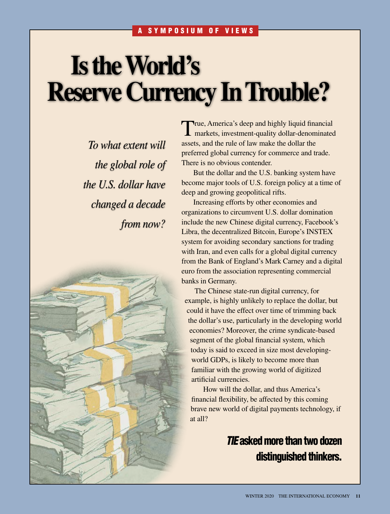# **Is the World's Reserve Currency In Trouble?**

*To what extent will the global role of the U.S. dollar have changed a decade from now?*



True, America's deep and highly liquid financial markets, investment-quality dollar-denominated assets, and the rule of law make the dollar the preferred global currency for commerce and trade. There is no obvious contender.

But the dollar and the U.S. banking system have become major tools of U.S. foreign policy at a time of deep and growing geopolitical rifts.

Increasing efforts by other economies and organizations to circumvent U.S. dollar domination include the new Chinese digital currency, Facebook's Libra, the decentralized Bitcoin, Europe's INSTEX system for avoiding secondary sanctions for trading with Iran, and even calls for a global digital currency from the Bank of England's Mark Carney and a digital euro from the association representing commercial banks in Germany.

The Chinese state-run digital currency, for example, is highly unlikely to replace the dollar, but could it have the effect over time of trimming back the dollar's use, particularly in the developing world economies? Moreover, the crime syndicate-based segment of the global financial system, which today is said to exceed in size most developingworld GDPs, is likely to become more than familiar with the growing world of digitized artificial currencies.

How will the dollar, and thus America's financial flexibility, be affected by this coming brave new world of digital payments technology, if at all?

# *TIE* asked more than two dozen distinguished thinkers.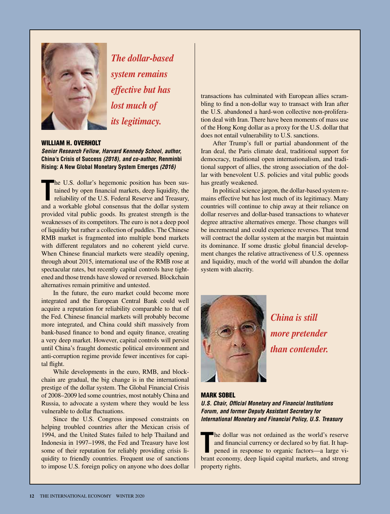

*The dollar-based system remains effective but has lost much of its legitimacy.*

### WILLIAM H. OVERHOLT

*Senior Research Fellow, Harvard Kennedy School, author,*  **China's Crisis of Success** *(2018), and co-author,* **Renminbi Rising: A New Global Monetary System Emerges** *(2016)*

The U.S. dollar's hegemonic position has been sustained by open financial markets, deep liquidity, the reliability of the U.S. Federal Reserve and Treasury, and a workable global consensus that the dollar system he U.S. dollar's hegemonic position has been sustained by open financial markets, deep liquidity, the reliability of the U.S. Federal Reserve and Treasury, provided vital public goods. Its greatest strength is the weaknesses of its competitors. The euro is not a deep pool of liquidity but rather a collection of puddles. The Chinese RMB market is fragmented into multiple bond markets with different regulators and no coherent yield curve. When Chinese financial markets were steadily opening, through about 2015, international use of the RMB rose at spectacular rates, but recently capital controls have tightened and those trends have slowed or reversed. Blockchain alternatives remain primitive and untested.

In the future, the euro market could become more integrated and the European Central Bank could well acquire a reputation for reliability comparable to that of the Fed. Chinese financial markets will probably become more integrated, and China could shift massively from bank-based finance to bond and equity finance, creating a very deep market. However, capital controls will persist until China's fraught domestic political environment and anti-corruption regime provide fewer incentives for capital flight.

While developments in the euro, RMB, and blockchain are gradual, the big change is in the international prestige of the dollar system. The Global Financial Crisis of 2008–2009 led some countries, most notably China and Russia, to advocate a system where they would be less vulnerable to dollar fluctuations.

Since the U.S. Congress imposed constraints on helping troubled countries after the Mexican crisis of 1994, and the United States failed to help Thailand and Indonesia in 1997–1998, the Fed and Treasury have lost some of their reputation for reliably providing crisis liquidity to friendly countries. Frequent use of sanctions to impose U.S. foreign policy on anyone who does dollar

transactions has culminated with European allies scrambling to find a non-dollar way to transact with Iran after the U.S. abandoned a hard-won collective non-proliferation deal with Iran. There have been moments of mass use of the Hong Kong dollar as a proxy for the U.S. dollar that does not entail vulnerability to U.S. sanctions.

After Trump's full or partial abandonment of the Iran deal, the Paris climate deal, traditional support for democracy, traditional open internationalism, and traditional support of allies, the strong association of the dollar with benevolent U.S. policies and vital public goods has greatly weakened.

In political science jargon, the dollar-based system remains effective but has lost much of its legitimacy. Many countries will continue to chip away at their reliance on dollar reserves and dollar-based transactions to whatever degree attractive alternatives emerge. Those changes will be incremental and could experience reverses. That trend will contract the dollar system at the margin but maintain its dominance. If some drastic global financial development changes the relative attractiveness of U.S. openness and liquidity, much of the world will abandon the dollar system with alacrity.



*China is still more pretender than contender.*

#### MARK SOBEL

*U.S. Chair, Official Monetary and Financial Institutions Forum, and former Deputy Assistant Secretary for International Monetary and Financial Policy, U.S. Treasury*

The dollar was not ordained as the world's reserve and financial currency or declared so by fiat. It happened in response to organic factors—a large vibrant economy, deep liquid capital markets, and strong he dollar was not ordained as the world's reserve and financial currency or declared so by fiat. It happened in response to organic factors—a large viproperty rights.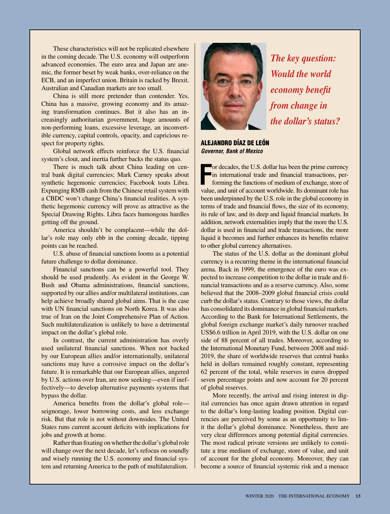These characteristics will not be replicated elsewhere in the coming decade. The U.S. economy will outperform advanced economies. The euro area and Japan are anemic, the former beset by weak banks, over-reliance on the ECB, and an imperfect union. Britain is racked by Brexit. Australian and Canadian markets are too small.

China is still more pretender than contender. Yes, China has a massive, growing economy and its amazing transformation continues. But it also has an increasingly authoritarian government, huge amounts of non-performing loans, excessive leverage, an inconvertible currency, capital controls, opacity, and capricious respect for property rights.

Global network effects reinforce the U.S. financial system's clout, and inertia further backs the status quo.

There is much talk about China leading on central bank digital currencies; Mark Carney speaks about synthetic hegemonic currencies; Facebook touts Libra. Expunging RMB cash from the Chinese retail system with a CBDC won't change China's financial realities. A synthetic hegemonic currency will prove as attractive as the Special Drawing Rights. Libra faces humongous hurdles getting off the ground.

America shouldn't be complacent—while the dollar's role may only ebb in the coming decade, tipping points can be reached.

U.S. abuse of financial sanctions looms as a potential future challenge to dollar dominance.

Financial sanctions can be a powerful tool. They should be used prudently. As evident in the George W. Bush and Obama administrations, financial sanctions, supported by our allies and/or multilateral institutions, can help achieve broadly shared global aims. That is the case with UN financial sanctions on North Korea. It was also true of Iran on the Joint Comprehensive Plan of Action. Such multilateralization is unlikely to have a detrimental impact on the dollar's global role.

In contrast, the current administration has overly used unilateral financial sanctions. When not backed by our European allies and/or internationally, unilateral sanctions may have a corrosive impact on the dollar's future. It is remarkable that our European allies, angered by U.S. actions over Iran, are now seeking—even if ineffectively—to develop alternative payments systems that bypass the dollar.

America benefits from the dollar's global role seignorage, lower borrowing costs, and less exchange risk. But that role is not without downsides. The United States runs current account deficits with implications for jobs and growth at home.

Rather than fixating on whether the dollar's global role will change over the next decade, let's refocus on soundly and wisely running the U.S. economy and financial system and returning America to the path of multilateralism.



*The key question: Would the world economy benefit from change in the dollar's status?*

# ALEJANDRO DÍAZ DE LEÓN *Governor, Bank of Mexico*

**FR** or decades, the U.S. dollar has been the prime currency in international trade and financial transactions, performing the functions of medium of exchange, store of value, and unit of account worldwide. Its dominant ro or decades, the U.S. dollar has been the prime currency In international trade and financial transactions, performing the functions of medium of exchange, store of been underpinned by the U.S. role in the global economy in terms of trade and financial flows, the size of its economy, its rule of law, and its deep and liquid financial markets. In addition, network externalities imply that the more the U.S. dollar is used in financial and trade transactions, the more liquid it becomes and further enhances its benefits relative to other global currency alternatives.

The status of the U.S. dollar as the dominant global currency is a recurring theme in the international financial arena. Back in 1999, the emergence of the euro was expected to increase competition to the dollar in trade and financial transactions and as a reserve currency. Also, some believed that the 2008–2009 global financial crisis could curb the dollar's status. Contrary to those views, the dollar has consolidated its dominance in global financial markets. According to the Bank for International Settlements, the global foreign exchange market's daily turnover reached US\$6.6 trillion in April 2019, with the U.S. dollar on one side of 88 percent of all trades. Moreover, according to the International Monetary Fund, between 2008 and mid-2019, the share of worldwide reserves that central banks held in dollars remained roughly constant, representing 62 percent of the total, while reserves in euros dropped seven percentage points and now account for 20 percent of global reserves.

More recently, the arrival and rising interest in digital currencies has once again drawn attention in regard to the dollar's long-lasting leading position. Digital currencies are perceived by some as an opportunity to limit the dollar's global dominance. Nonetheless, there are very clear differences among potential digital currencies. The most radical private versions are unlikely to constitute a true medium of exchange, store of value, and unit of account for the global economy. Moreover, they can become a source of financial systemic risk and a menace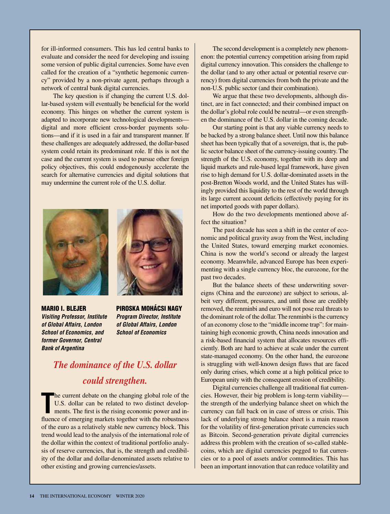for ill-informed consumers. This has led central banks to evaluate and consider the need for developing and issuing some version of public digital currencies. Some have even called for the creation of a "synthetic hegemonic currency" provided by a non-private agent, perhaps through a network of central bank digital currencies.

The key question is if changing the current U.S. dollar-based system will eventually be beneficial for the world economy. This hinges on whether the current system is adapted to incorporate new technological developments digital and more efficient cross-border payments solutions—and if it is used in a fair and transparent manner. If these challenges are adequately addressed, the dollar-based system could retain its predominant role. If this is not the case and the current system is used to pursue other foreign policy objectives, this could endogenously accelerate the search for alternative currencies and digital solutions that may undermine the current role of the U.S. dollar.



MARIO I. BLEJER *Visiting Professor, Institute of Global Affairs, London School of Economics, and former Governor, Central Bank of Argentina*



PIROSKA MOHÁCSI NAGY *Program Director, Institute of Global Affairs, London School of Economics*

# *The dominance of the U.S. dollar could strengthen.*

The current debate on the changing global role of the U.S. dollar can be related to two distinct developments. The first is the rising economic power and influence of emerging markets together with the robustness he current debate on the changing global role of the U.S. dollar can be related to two distinct developments. The first is the rising economic power and inof the euro as a relatively stable new currency block. This trend would lead to the analysis of the international role of the dollar within the context of traditional portfolio analysis of reserve currencies, that is, the strength and credibility of the dollar and dollar-denominated assets relative to other existing and growing currencies/assets.

The second development is a completely new phenomenon: the potential currency competition arising from rapid digital currency innovation. This considers the challenge to the dollar (and to any other actual or potential reserve currency) from digital currencies from both the private and the non-U.S. public sector (and their combination).

We argue that these two developments, although distinct, are in fact connected; and their combined impact on the dollar's global role could be neutral—or even strengthen the dominance of the U.S. dollar in the coming decade.

Our starting point is that any viable currency needs to be backed by a strong balance sheet. Until now this balance sheet has been typically that of a sovereign, that is, the public sector balance sheet of the currency-issuing country. The strength of the U.S. economy, together with its deep and liquid markets and rule-based legal framework, have given rise to high demand for U.S. dollar-dominated assets in the post-Bretton Woods world, and the United States has willingly provided this liquidity to the rest of the world through its large current account deficits (effectively paying for its net imported goods with paper dollars).

How do the two developments mentioned above affect the situation?

The past decade has seen a shift in the center of economic and political gravity away from the West, including the United States, toward emerging market economies. China is now the world's second or already the largest economy. Meanwhile, advanced Europe has been experimenting with a single currency bloc, the eurozone, for the past two decades.

But the balance sheets of these underwriting sovereigns (China and the eurozone) are subject to serious, albeit very different, pressures, and until those are credibly removed, the renminbi and euro will not pose real threats to the dominant role of the dollar. The renminbi is the currency of an economy close to the "middle income trap": for maintaining high economic growth, China needs innovation and a risk-based financial system that allocates resources efficiently. Both are hard to achieve at scale under the current state-managed economy. On the other hand, the eurozone is struggling with well-known design flaws that are faced only during crises, which come at a high political price to European unity with the consequent erosion of credibility.

Digital currencies challenge all traditional fiat currencies. However, their big problem is long-term viability the strength of the underlying balance sheet on which the currency can fall back on in case of stress or crisis. This lack of underlying strong balance sheet is a main reason for the volatility of first-generation private currencies such as Bitcoin. Second-generation private digital currencies address this problem with the creation of so-called stablecoins, which are digital currencies pegged to fiat currencies or to a pool of assets and/or commodities. This has been an important innovation that can reduce volatility and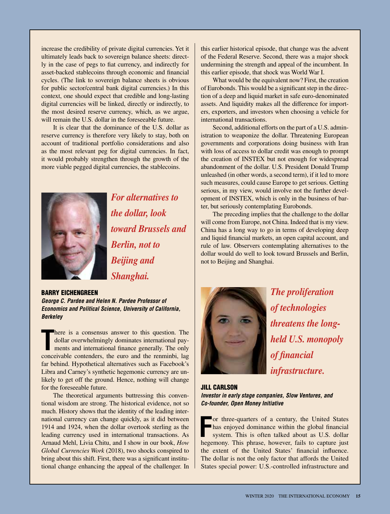increase the credibility of private digital currencies. Yet it ultimately leads back to sovereign balance sheets: directly in the case of pegs to fiat currency, and indirectly for asset-backed stablecoins through economic and financial cycles. (The link to sovereign balance sheets is obvious for public sector/central bank digital currencies.) In this context, one should expect that credible and long-lasting digital currencies will be linked, directly or indirectly, to the most desired reserve currency, which, as we argue, will remain the U.S. dollar in the foreseeable future.

It is clear that the dominance of the U.S. dollar as reserve currency is therefore very likely to stay, both on account of traditional portfolio considerations and also as the most relevant peg for digital currencies. In fact, it would probably strengthen through the growth of the more viable pegged digital currencies, the stablecoins.



*For alternatives to the dollar, look toward Brussels and Berlin, not to Beijing and Shanghai.*

### BARRY EICHENGREEN

*George C. Pardee and Helen N. Pardee Professor of Economics and Political Science, University of California, Berkeley*

There is a consensus answer to this question. The dollar overwhelmingly dominates international payments and international finance generally. The only conceivable contenders, the euro and the renminbi, lag here is a consensus answer to this question. The dollar overwhelmingly dominates international payments and international finance generally. The only far behind. Hypothetical alternatives such as Facebook's Libra and Carney's synthetic hegemonic currency are unlikely to get off the ground. Hence, nothing will change for the foreseeable future.

The theoretical arguments buttressing this conventional wisdom are strong. The historical evidence, not so much. History shows that the identity of the leading international currency can change quickly, as it did between 1914 and 1924, when the dollar overtook sterling as the leading currency used in international transactions. As Arnaud Mehl, Livia Chitu, and I show in our book, *How Global Currencies Work* (2018), two shocks conspired to bring about this shift. First, there was a significant institutional change enhancing the appeal of the challenger. In

this earlier historical episode, that change was the advent of the Federal Reserve. Second, there was a major shock undermining the strength and appeal of the incumbent. In this earlier episode, that shock was World War I.

What would be the equivalent now? First, the creation of Eurobonds. This would be a significant step in the direction of a deep and liquid market in safe euro-denominated assets. And liquidity makes all the difference for importers, exporters, and investors when choosing a vehicle for international transactions.

Second, additional efforts on the part of a U.S. administration to weaponize the dollar. Threatening European governments and corporations doing business with Iran with loss of access to dollar credit was enough to prompt the creation of INSTEX but not enough for widespread abandonment of the dollar. U.S. President Donald Trump unleashed (in other words, a second term), if it led to more such measures, could cause Europe to get serious. Getting serious, in my view, would involve not the further development of INSTEX, which is only in the business of barter, but seriously contemplating Eurobonds.

The preceding implies that the challenge to the dollar will come from Europe, not China. Indeed that is my view. China has a long way to go in terms of developing deep and liquid financial markets, an open capital account, and rule of law. Observers contemplating alternatives to the dollar would do well to look toward Brussels and Berlin, not to Beijing and Shanghai.



*The proliferation of technologies threatens the longheld U.S. monopoly of financial infrastructure.*

## JILL CARLSON

*Investor in early stage companies, Slow Ventures, and Co-founder, Open Money Initiative*

**F Solution** or three-quarters of a century, the United States has enjoyed dominance within the global financial system. This is often talked about as U.S. dollar hegemony. This phrase, however, fails to capture just the extent of the United States' financial influence. The dollar is not the only factor that affords the United States special power: U.S.-controlled infrastructure and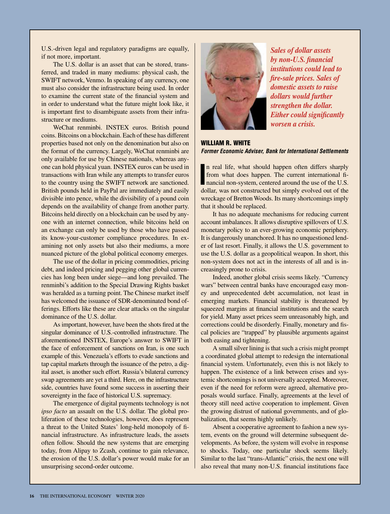U.S.-driven legal and regulatory paradigms are equally, if not more, important.

The U.S. dollar is an asset that can be stored, transferred, and traded in many mediums: physical cash, the SWIFT network, Venmo. In speaking of any currency, one must also consider the infrastructure being used. In order to examine the current state of the financial system and in order to understand what the future might look like, it is important first to disambiguate assets from their infrastructure or mediums.

WeChat renminbi. INSTEX euros. British pound coins. Bitcoins on a blockchain. Each of these has different properties based not only on the denomination but also on the format of the currency. Largely, WeChat renminbi are only available for use by Chinese nationals, whereas anyone can hold physical yuan. INSTEX euros can be used in transactions with Iran while any attempts to transfer euros to the country using the SWIFT network are sanctioned. British pounds held in PayPal are immediately and easily divisible into pence, while the divisibility of a pound coin depends on the availability of change from another party. Bitcoins held directly on a blockchain can be used by anyone with an internet connection, while bitcoins held on an exchange can only be used by those who have passed its know-your-customer compliance procedures. In examining not only assets but also their mediums, a more nuanced picture of the global political economy emerges.

The use of the dollar in pricing commodities, pricing debt, and indeed pricing and pegging other global currencies has long been under siege—and long prevailed. The renminbi's addition to the Special Drawing Rights basket was heralded as a turning point. The Chinese market itself has welcomed the issuance of SDR-denominated bond offerings. Efforts like these are clear attacks on the singular dominance of the U.S. dollar.

As important, however, have been the shots fired at the singular dominance of U.S.-controlled infrastructure. The aforementioned INSTEX, Europe's answer to SWIFT in the face of enforcement of sanctions on Iran, is one such example of this. Venezuela's efforts to evade sanctions and tap capital markets through the issuance of the petro, a digital asset, is another such effort. Russia's bilateral currency swap agreements are yet a third. Here, on the infrastructure side, countries have found some success in asserting their sovereignty in the face of historical U.S. supremacy.

The emergence of digital payments technology is not *ipso facto* an assault on the U.S. dollar. The global proliferation of these technologies, however, does represent a threat to the United States' long-held monopoly of financial infrastructure. As infrastructure leads, the assets often follow. Should the new systems that are emerging today, from Alipay to Zcash, continue to gain relevance, the erosion of the U.S. dollar's power would make for an unsurprising second-order outcome.



*Sales of dollar assets by non-U.S. financial institutions could lead to fire-sale prices. Sales of domestic assets to raise dollars would further strengthen the dollar. Either could significantly worsen a crisis.*

### WILLIAM R. WHITE *Former Economic Adviser, Bank for International Settlements*

In real life, what should happen often differs sharply<br>
from what does happen. The current international fi-<br>
nancial non-system, centered around the use of the U.S.<br>
dellar was not continued by simply avalyed ant of the n real life, what should happen often differs sharply from what does happen. The current international fidollar, was not constructed but simply evolved out of the wreckage of Bretton Woods. Its many shortcomings imply that it should be replaced.

It has no adequate mechanisms for reducing current account imbalances. It allows disruptive spillovers of U.S. monetary policy to an ever-growing economic periphery. It is dangerously unanchored. It has no unquestioned lender of last resort. Finally, it allows the U.S. government to use the U.S. dollar as a geopolitical weapon. In short, this non-system does not act in the interests of all and is increasingly prone to crisis.

Indeed, another global crisis seems likely. "Currency wars" between central banks have encouraged easy money and unprecedented debt accumulation, not least in emerging markets. Financial stability is threatened by squeezed margins at financial institutions and the search for yield. Many asset prices seem unreasonably high, and corrections could be disorderly. Finally, monetary and fiscal policies are "trapped" by plausible arguments against both easing and tightening.

A small silver lining is that such a crisis might prompt a coordinated global attempt to redesign the international financial system. Unfortunately, even this is not likely to happen. The existence of a link between crises and systemic shortcomings is not universally accepted. Moreover, even if the need for reform were agreed, alternative proposals would surface. Finally, agreements at the level of theory still need active cooperation to implement. Given the growing distrust of national governments, and of globalization, that seems highly unlikely.

Absent a cooperative agreement to fashion a new system, events on the ground will determine subsequent developments. As before, the system will evolve in response to shocks. Today, one particular shock seems likely. Similar to the last "trans-Atlantic" crisis, the next one will also reveal that many non-U.S. financial institutions face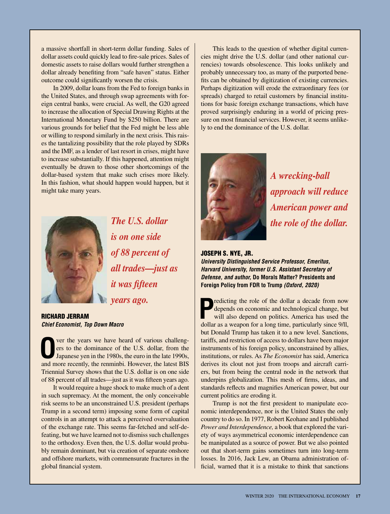a massive shortfall in short-term dollar funding. Sales of dollar assets could quickly lead to fire-sale prices. Sales of domestic assets to raise dollars would further strengthen a dollar already benefiting from "safe haven" status. Either outcome could significantly worsen the crisis.

In 2009, dollar loans from the Fed to foreign banks in the United States, and through swap agreements with foreign central banks, were crucial. As well, the G20 agreed to increase the allocation of Special Drawing Rights at the International Monetary Fund by \$250 billion. There are various grounds for belief that the Fed might be less able or willing to respond similarly in the next crisis. This raises the tantalizing possibility that the role played by SDRs and the IMF, as a lender of last resort in crises, might have to increase substantially. If this happened, attention might eventually be drawn to those other shortcomings of the dollar-based system that make such crises more likely. In this fashion, what should happen would happen, but it might take many years.



*is on one side of 88 percent of all trades—just as it was fifteen years ago.*

RICHARD JERRAM *Chief Economist, Top Down Macro*

The years we have heard of various challengers to the dominance of the U.S. dollar, from the Japanese yen in the 1980s, the euro in the late 1990s, and more means that the approximate  $\frac{1}{2}$ ers to the dominance of the U.S. dollar, from the Japanese yen in the 1980s, the euro in the late 1990s, and more recently, the renminbi. However, the latest BIS Triennial Survey shows that the U.S. dollar is on one side of 88 percent of all trades—just as it was fifteen years ago.

It would require a huge shock to make much of a dent in such supremacy. At the moment, the only conceivable risk seems to be an unconstrained U.S. president (perhaps Trump in a second term) imposing some form of capital controls in an attempt to attack a perceived overvaluation of the exchange rate. This seems far-fetched and self-defeating, but we have learned not to dismiss such challenges to the orthodoxy. Even then, the U.S. dollar would probably remain dominant, but via creation of separate onshore and offshore markets, with commensurate fractures in the global financial system.

This leads to the question of whether digital currencies might drive the U.S. dollar (and other national currencies) towards obsolescence. This looks unlikely and probably unnecessary too, as many of the purported benefits can be obtained by digitization of existing currencies. Perhaps digitization will erode the extraordinary fees (or spreads) charged to retail customers by financial institutions for basic foreign exchange transactions, which have proved surprisingly enduring in a world of pricing pressure on most financial services. However, it seems unlikely to end the dominance of the U.S. dollar.



*A wrecking-ball approach will reduce American power and the role of the dollar.*

### JOSEPH S. NYE, JR.

*University Distinguished Service Professor, Emeritus, Harvard University, former U.S. Assistant Secretary of Defense, and author,* **Do Morals Matter? Presidents and Foreign Policy from FDR to Trump** *(Oxford, 2020)*

**P** redicting the role of the dollar a decade from now depends on economic and technological change, but will also depend on politics. America has used the dollar as a weapon for a long time, particularly since 9/ll, redicting the role of the dollar a decade from now depends on economic and technological change, but will also depend on politics. America has used the but Donald Trump has taken it to a new level. Sanctions, tariffs, and restriction of access to dollars have been major instruments of his foreign policy, unconstrained by allies, institutions, or rules. As *The Economist* has said, America derives its clout not just from troops and aircraft carriers, but from being the central node in the network that underpins globalization. This mesh of firms, ideas, and standards reflects and magnifies American power, but our current politics are eroding it.

Trump is not the first president to manipulate economic interdependence, nor is the United States the only country to do so. In 1977, Robert Keohane and I published *Power and Interdependence,* a book that explored the variety of ways asymmetrical economic interdependence can be manipulated as a source of power. But we also pointed out that short-term gains sometimes turn into long-term losses. In 2016, Jack Lew, an Obama administration official, warned that it is a mistake to think that sanctions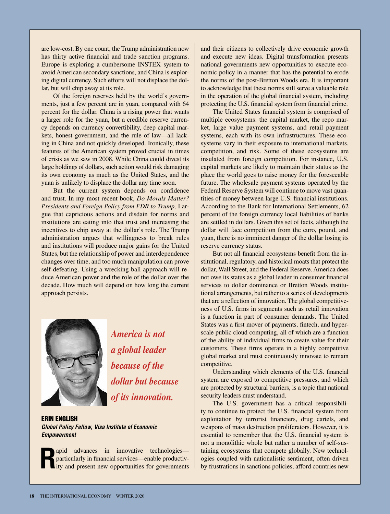are low-cost. By one count, the Trump administration now has thirty active financial and trade sanction programs. Europe is exploring a cumbersome INSTEX system to avoid American secondary sanctions, and China is exploring digital currency. Such efforts will not displace the dollar, but will chip away at its role.

Of the foreign reserves held by the world's governments, just a few percent are in yuan, compared with 64 percent for the dollar. China is a rising power that wants a larger role for the yuan, but a credible reserve currency depends on currency convertibility, deep capital markets, honest government, and the rule of law—all lacking in China and not quickly developed. Ironically, these features of the American system proved crucial in times of crisis as we saw in 2008. While China could divest its large holdings of dollars, such action would risk damaging its own economy as much as the United States, and the yuan is unlikely to displace the dollar any time soon.

But the current system depends on confidence and trust. In my most recent book, *Do Morals Matter? Presidents and Foreign Policy from FDR to Trump,* I argue that capricious actions and disdain for norms and institutions are eating into that trust and increasing the incentives to chip away at the dollar's role. The Trump administration argues that willingness to break rules and institutions will produce major gains for the United States, but the relationship of power and interdependence changes over time, and too much manipulation can prove self-defeating. Using a wrecking-ball approach will reduce American power and the role of the dollar over the decade. How much will depend on how long the current approach persists.



*America is not a global leader because of the dollar but because of its innovation.*

ERIN ENGLISH *Global Policy Fellow, Visa Institute of Economic Empowerment*

apid advances in innovative technologies particularly in financial services—enable productivity and present new opportunities for governments

and their citizens to collectively drive economic growth and execute new ideas. Digital transformation presents national governments new opportunities to execute economic policy in a manner that has the potential to erode the norms of the post-Bretton Woods era. It is important to acknowledge that these norms still serve a valuable role in the operation of the global financial system, including protecting the U.S. financial system from financial crime.

The United States financial system is comprised of multiple ecosystems: the capital market, the repo market, large value payment systems, and retail payment systems, each with its own infrastructures. These ecosystems vary in their exposure to international markets, competition, and risk. Some of these ecosystems are insulated from foreign competition. For instance, U.S. capital markets are likely to maintain their status as the place the world goes to raise money for the foreseeable future. The wholesale payment systems operated by the Federal Reserve System will continue to move vast quantities of money between large U.S. financial institutions. According to the Bank for International Settlements, 62 percent of the foreign currency local liabilities of banks are settled in dollars. Given this set of facts, although the dollar will face competition from the euro, pound, and yuan, there is no imminent danger of the dollar losing its reserve currency status.

But not all financial ecosystems benefit from the institutional, regulatory, and historical moats that protect the dollar, Wall Street, and the Federal Reserve. America does not owe its status as a global leader in consumer financial services to dollar dominance or Bretton Woods institutional arrangements, but rather to a series of developments that are a reflection of innovation. The global competitiveness of U.S. firms in segments such as retail innovation is a function in part of consumer demands. The United States was a first mover of payments, fintech, and hyperscale public cloud computing, all of which are a function of the ability of individual firms to create value for their customers. These firms operate in a highly competitive global market and must continuously innovate to remain competitive.

Understanding which elements of the U.S. financial system are exposed to competitive pressures, and which are protected by structural barriers, is a topic that national security leaders must understand.

The U.S. government has a critical responsibility to continue to protect the U.S. financial system from exploitation by terrorist financiers, drug cartels, and weapons of mass destruction proliferators. However, it is essential to remember that the U.S. financial system is not a monolithic whole but rather a number of self-sustaining ecosystems that compete globally. New technologies coupled with nationalistic sentiment, often driven by frustrations in sanctions policies, afford countries new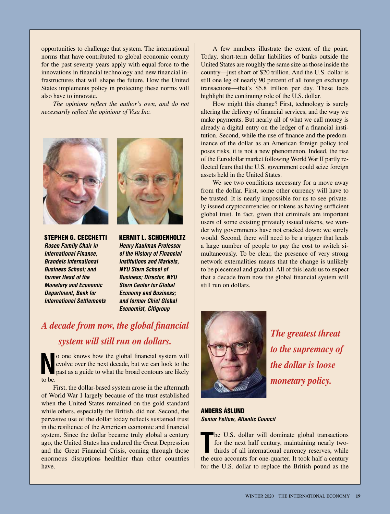opportunities to challenge that system. The international norms that have contributed to global economic comity for the past seventy years apply with equal force to the innovations in financial technology and new financial infrastructures that will shape the future. How the United States implements policy in protecting these norms will also have to innovate.

*The opinions reflect the author's own, and do not necessarily reflect the opinions of Visa Inc.*





STEPHEN G. CECCHETTI *Rosen Family Chair in International Finance, Brandeis International Business School; and former Head of the Monetary and Economic Department, Bank for International Settlements*

KERMIT L. SCHOENHOLTZ *Henry Kaufman Professor of the History of Financial Institutions and Markets, NYU Stern School of Business; Director, NYU Stern Center for Global Economy and Business; and former Chief Global Economist, Citigroup*

# *A decade from now, the global financial system will still run on dollars.*

**N**o one knows how the global financial system will evolve over the next decade, but we can look to the past as a guide to what the broad contours are likely evolve over the next decade, but we can look to the to be.

First, the dollar-based system arose in the aftermath of World War I largely because of the trust established when the United States remained on the gold standard while others, especially the British, did not. Second, the pervasive use of the dollar today reflects sustained trust in the resilience of the American economic and financial system. Since the dollar became truly global a century ago, the United States has endured the Great Depression and the Great Financial Crisis, coming through those enormous disruptions healthier than other countries have.

A few numbers illustrate the extent of the point. Today, short-term dollar liabilities of banks outside the United States are roughly the same size as those inside the country—just short of \$20 trillion. And the U.S. dollar is still one leg of nearly 90 percent of all foreign exchange transactions—that's \$5.8 trillion per day. These facts highlight the continuing role of the U.S. dollar.

How might this change? First, technology is surely altering the delivery of financial services, and the way we make payments. But nearly all of what we call money is already a digital entry on the ledger of a financial institution. Second, while the use of finance and the predominance of the dollar as an American foreign policy tool poses risks, it is not a new phenomenon. Indeed, the rise of the Eurodollar market following World War II partly reflected fears that the U.S. government could seize foreign assets held in the United States.

We see two conditions necessary for a move away from the dollar. First, some other currency will have to be trusted. It is nearly impossible for us to see privately issued cryptocurrencies or tokens as having sufficient global trust. In fact, given that criminals are important users of some existing privately issued tokens, we wonder why governments have not cracked down: we surely would. Second, there will need to be a trigger that leads a large number of people to pay the cost to switch simultaneously. To be clear, the presence of very strong network externalities means that the change is unlikely to be piecemeal and gradual. All of this leads us to expect that a decade from now the global financial system will still run on dollars.



*The greatest threat to the supremacy of the dollar is loose monetary policy.*

ANDERS ÅSLUND *Senior Fellow, Atlantic Council*

The U.S. dollar will dominate global transactions for the next half century, maintaining nearly two-<br>thirds of all international currency reserves, while<br>the euro accounts for one-quarter. It took half a century he U.S. dollar will dominate global transactions for the next half century, maintaining nearly twothirds of all international currency reserves, while for the U.S. dollar to replace the British pound as the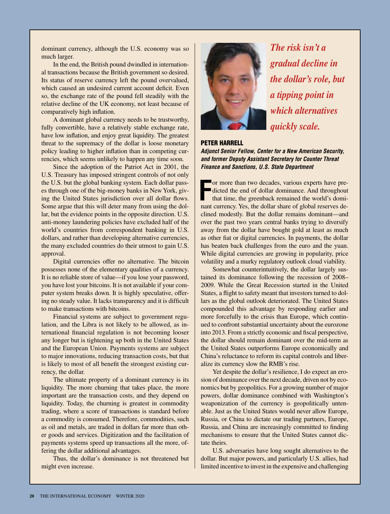dominant currency, although the U.S. economy was so much larger.

In the end, the British pound dwindled in international transactions because the British government so desired. Its status of reserve currency left the pound overvalued, which caused an undesired current account deficit. Even so, the exchange rate of the pound fell steadily with the relative decline of the UK economy, not least because of comparatively high inflation.

A dominant global currency needs to be trustworthy, fully convertible, have a relatively stable exchange rate, have low inflation, and enjoy great liquidity. The greatest threat to the supremacy of the dollar is loose monetary policy leading to higher inflation than in competing currencies, which seems unlikely to happen any time soon.

Since the adoption of the Patriot Act in 2001, the U.S. Treasury has imposed stringent controls of not only the U.S. but the global banking system. Each dollar passes through one of the big-money banks in New York, giving the United States jurisdiction over all dollar flows. Some argue that this will deter many from using the dollar, but the evidence points in the opposite direction. U.S. anti-money laundering policies have excluded half of the world's countries from correspondent banking in U.S. dollars, and rather than developing alternative currencies, the many excluded countries do their utmost to gain U.S. approval.

Digital currencies offer no alternative. The bitcoin possesses none of the elementary qualities of a currency. It is no reliable store of value—if you lose your password, you have lost your bitcoins. It is not available if your computer system breaks down. It is highly speculative, offering no steady value. It lacks transparency and it is difficult to make transactions with bitcoins.

Financial systems are subject to government regulation, and the Libra is not likely to be allowed, as international financial regulation is not becoming looser any longer but is tightening up both in the United States and the European Union. Payments systems are subject to major innovations, reducing transaction costs, but that is likely to most of all benefit the strongest existing currency, the dollar.

The ultimate property of a dominant currency is its liquidity. The more churning that takes place, the more important are the transaction costs, and they depend on liquidity. Today, the churning is greatest in commodity trading, where a score of transactions is standard before a commodity is consumed. Therefore, commodities, such as oil and metals, are traded in dollars far more than other goods and services. Digitization and the facilitation of payments systems speed up transactions all the more, offering the dollar additional advantages.

Thus, the dollar's dominance is not threatened but might even increase.



*The risk isn't a gradual decline in the dollar's role, but a tipping point in which alternatives quickly scale.*

### PETER HARRELL

*Adjunct Senior Fellow, Center for a New American Security, and former Deputy Assistant Secretary for Counter Threat Finance and Sanctions, U.S. State Department*

Fraction of the end of dollar dominance. And throughout<br>that time, the greenback remained the world's domi-<br>not currency. You the dollar change of closely contidicted the end of dollar dominance. And throughout that time, the greenback remained the world's dominant currency. Yes, the dollar share of global reserves declined modestly. But the dollar remains dominant—and over the past two years central banks trying to diversify away from the dollar have bought gold at least as much as other fiat or digital currencies. In payments, the dollar has beaten back challenges from the euro and the yuan. While digital currencies are growing in popularity, price volatility and a murky regulatory outlook cloud viability.

Somewhat counterintuitively, the dollar largely sustained its dominance following the recession of 2008– 2009. While the Great Recession started in the United States, a flight to safety meant that investors turned to dollars as the global outlook deteriorated. The United States compounded this advantage by responding earlier and more forcefully to the crisis than Europe, which continued to confront substantial uncertainty about the eurozone into 2013. From a strictly economic and fiscal perspective, the dollar should remain dominant over the mid-term as the United States outperforms Europe economically and China's reluctance to reform its capital controls and liberalize its currency slow the RMB's rise.

Yet despite the dollar's resilience, I do expect an erosion of dominance over the next decade, driven not by economics but by geopolitics. For a growing number of major powers, dollar dominance combined with Washington's weaponization of the currency is geopolitically untenable. Just as the United States would never allow Europe, Russia, or China to dictate our trading partners, Europe, Russia, and China are increasingly committed to finding mechanisms to ensure that the United States cannot dictate theirs.

U.S. adversaries have long sought alternatives to the dollar. But major powers, and particularly U.S. allies, had limited incentive to invest in the expensive and challenging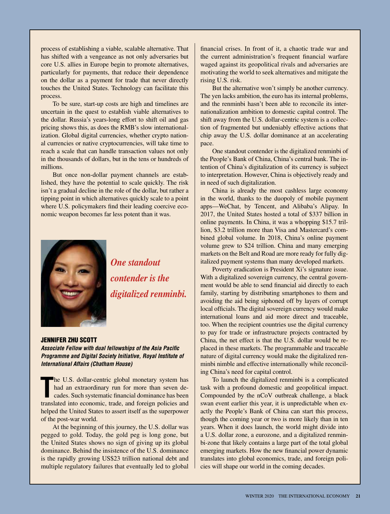process of establishing a viable, scalable alternative. That has shifted with a vengeance as not only adversaries but core U.S. allies in Europe begin to promote alternatives, particularly for payments, that reduce their dependence on the dollar as a payment for trade that never directly touches the United States. Technology can facilitate this process.

To be sure, start-up costs are high and timelines are uncertain in the quest to establish viable alternatives to the dollar. Russia's years-long effort to shift oil and gas pricing shows this, as does the RMB's slow internationalization. Global digital currencies, whether crypto national currencies or native cryptocurrencies, will take time to reach a scale that can handle transaction values not only in the thousands of dollars, but in the tens or hundreds of millions.

But once non-dollar payment channels are established, they have the potential to scale quickly. The risk isn't a gradual decline in the role of the dollar, but rather a tipping point in which alternatives quickly scale to a point where U.S. policymakers find their leading coercive economic weapon becomes far less potent than it was.



*One standout contender is the digitalized renminbi.*

#### JENNIFER ZHU SCOTT

*Associate Fellow with dual fellowships of the Asia Pacific Programme and Digital Society Initiative, Royal Institute of International Affairs (Chatham House)*

The U.S. dollar-centric global monetary system has had an extraordinary run for more than seven decades. Such systematic financial dominance has been translated into economic, trade, and foreign policies and he U.S. dollar-centric global monetary system has had an extraordinary run for more than seven decades. Such systematic financial dominance has been helped the United States to assert itself as the superpower of the post-war world.

At the beginning of this journey, the U.S. dollar was pegged to gold. Today, the gold peg is long gone, but the United States shows no sign of giving up its global dominance. Behind the insistence of the U.S. dominance is the rapidly growing US\$23 trillion national debt and multiple regulatory failures that eventually led to global

financial crises. In front of it, a chaotic trade war and the current administration's frequent financial warfare waged against its geopolitical rivals and adversaries are motivating the world to seek alternatives and mitigate the rising U.S. risk.

But the alternative won't simply be another currency. The yen lacks ambition, the euro has its internal problems, and the renminbi hasn't been able to reconcile its internationalization ambition to domestic capital control. The shift away from the U.S. dollar-centric system is a collection of fragmented but undeniably effective actions that chip away the U.S. dollar dominance at an accelerating pace.

One standout contender is the digitalized renminbi of the People's Bank of China, China's central bank. The intention of China's digitalization of its currency is subject to interpretation. However, China is objectively ready and in need of such digitalization.

China is already the most cashless large economy in the world, thanks to the duopoly of mobile payment apps—WeChat, by Tencent, and Alibaba's Alipay. In 2017, the United States hosted a total of \$337 billion in online payments. In China, it was a whopping \$15.7 trillion, \$3.2 trillion more than Visa and Mastercard's combined global volume. In 2018, China's online payment volume grew to \$24 trillion. China and many emerging markets on the Belt and Road are more ready for fully digitalized payment systems than many developed markets.

Poverty eradication is President Xi's signature issue. With a digitalized sovereign currency, the central government would be able to send financial aid directly to each family, starting by distributing smartphones to them and avoiding the aid being siphoned off by layers of corrupt local officials. The digital sovereign currency would make international loans and aid more direct and traceable, too. When the recipient countries use the digital currency to pay for trade or infrastructure projects contracted by China, the net effect is that the U.S. dollar would be replaced in these markets. The programmable and traceable nature of digital currency would make the digitalized renminbi nimble and effective internationally while reconciling China's need for capital control.

To launch the digitalized renminbi is a complicated task with a profound domestic and geopolitical impact. Compounded by the nCoV outbreak challenge, a black swan event earlier this year, it is unpredictable when exactly the People's Bank of China can start this process, though the coming year or two is more likely than in ten years. When it does launch, the world might divide into a U.S. dollar zone, a eurozone, and a digitalized renminbi-zone that likely contains a large part of the total global emerging markets. How the new financial power dynamic translates into global economics, trade, and foreign policies will shape our world in the coming decades.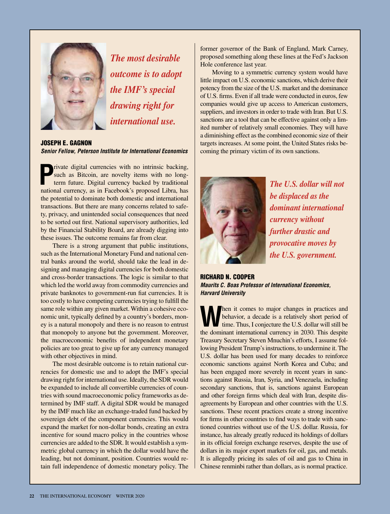

*The most desirable outcome is to adopt the IMF's special drawing right for international use.*

### JOSEPH E. GAGNON *Senior Fellow, Peterson Institute for International Economics*

**P** ivate digital currencies with no intrinsic backing, such as Bitcoin, are novelty items with no long-<br>term future. Digital currency backed by traditional<br>national currency, as in Facebook's proposed Libra, has rivate digital currencies with no intrinsic backing, such as Bitcoin, are novelty items with no longterm future. Digital currency backed by traditional the potential to dominate both domestic and international transactions. But there are many concerns related to safety, privacy, and unintended social consequences that need to be sorted out first. National supervisory authorities, led by the Financial Stability Board, are already digging into these issues. The outcome remains far from clear.

There is a strong argument that public institutions, such as the International Monetary Fund and national central banks around the world, should take the lead in designing and managing digital currencies for both domestic and cross-border transactions. The logic is similar to that which led the world away from commodity currencies and private banknotes to government-run fiat currencies. It is too costly to have competing currencies trying to fulfill the same role within any given market. Within a cohesive economic unit, typically defined by a country's borders, money is a natural monopoly and there is no reason to entrust that monopoly to anyone but the government. Moreover, the macroeconomic benefits of independent monetary policies are too great to give up for any currency managed with other objectives in mind.

The most desirable outcome is to retain national currencies for domestic use and to adopt the IMF's special drawing right for international use. Ideally, the SDR would be expanded to include all convertible currencies of countries with sound macroeconomic policy frameworks as determined by IMF staff. A digital SDR would be managed by the IMF much like an exchange-traded fund backed by sovereign debt of the component currencies. This would expand the market for non-dollar bonds, creating an extra incentive for sound macro policy in the countries whose currencies are added to the SDR. It would establish a symmetric global currency in which the dollar would have the leading, but not dominant, position. Countries would retain full independence of domestic monetary policy. The

former governor of the Bank of England, Mark Carney, proposed something along these lines at the Fed's Jackson Hole conference last year.

Moving to a symmetric currency system would have little impact on U.S. economic sanctions, which derive their potency from the size of the U.S. market and the dominance of U.S. firms. Even if all trade were conducted in euros, few companies would give up access to American customers, suppliers, and investors in order to trade with Iran. But U.S. sanctions are a tool that can be effective against only a limited number of relatively small economies. They will have a diminishing effect as the combined economic size of their targets increases. At some point, the United States risks becoming the primary victim of its own sanctions.



*The U.S. dollar will not be displaced as the dominant international currency without further drastic and provocative moves by the U.S. government.*

RICHARD N. COOPER *Maurits C. Boas Professor of International Economics, Harvard University*

**When** it comes to major changes in practices and behavior, a decade is a relatively short period of time. Thus, I conjecture the U.S. dollar will still be the dominant will still be behavior, a decade is a relatively short period of the dominant international currency in 2030. This despite Treasury Secretary Steven Mnuchin's efforts, I assume following President Trump's instructions, to undermine it. The U.S. dollar has been used for many decades to reinforce economic sanctions against North Korea and Cuba; and has been engaged more severely in recent years in sanctions against Russia, Iran, Syria, and Venezuela, including secondary sanctions, that is, sanctions against European and other foreign firms which deal with Iran, despite disagreements by European and other countries with the U.S. sanctions. These recent practices create a strong incentive for firms in other countries to find ways to trade with sanctioned countries without use of the U.S. dollar. Russia, for instance, has already greatly reduced its holdings of dollars in its official foreign exchange reserves, despite the use of dollars in its major export markets for oil, gas, and metals. It is allegedly pricing its sales of oil and gas to China in Chinese renminbi rather than dollars, as is normal practice.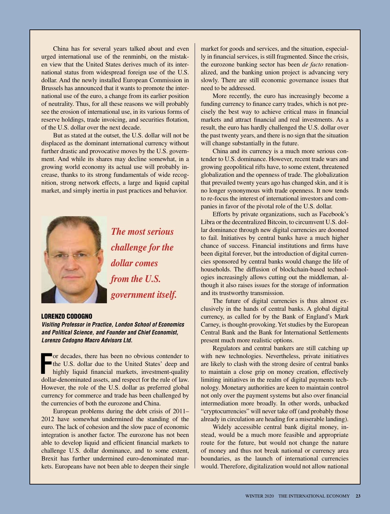China has for several years talked about and even urged international use of the renminbi, on the mistaken view that the United States derives much of its international status from widespread foreign use of the U.S. dollar. And the newly installed European Commission in Brussels has announced that it wants to promote the international use of the euro, a change from its earlier position of neutrality. Thus, for all these reasons we will probably see the erosion of international use, in its various forms of reserve holdings, trade invoicing, and securities flotation, of the U.S. dollar over the next decade.

But as stated at the outset, the U.S. dollar will not be displaced as the dominant international currency without further drastic and provocative moves by the U.S. government. And while its shares may decline somewhat, in a growing world economy its actual use will probably increase, thanks to its strong fundamentals of wide recognition, strong network effects, a large and liquid capital market, and simply inertia in past practices and behavior.



*The most serious challenge for the dollar comes from the U.S. government itself.*

#### LORENZO CODOGNO

*Visiting Professor in Practice, London School of Economics and Political Science, and Founder and Chief Economist, Lorenzo Codogno Macro Advisors Ltd.*

**F** or decades, there has been no obvious contender to the U.S. dollar due to the United States' deep and highly liquid financial markets, investment-quality dollar-denominated assets, and respect for the rule of law. However, the role of the U.S. dollar as preferred global currency for commerce and trade has been challenged by the currencies of both the eurozone and China.

European problems during the debt crisis of 2011– 2012 have somewhat undermined the standing of the euro. The lack of cohesion and the slow pace of economic integration is another factor. The eurozone has not been able to develop liquid and efficient financial markets to challenge U.S. dollar dominance, and to some extent, Brexit has further undermined euro-denominated markets. Europeans have not been able to deepen their single

market for goods and services, and the situation, especially in financial services, is still fragmented. Since the crisis, the eurozone banking sector has been *de facto* renationalized, and the banking union project is advancing very slowly. There are still economic governance issues that need to be addressed.

More recently, the euro has increasingly become a funding currency to finance carry trades, which is not precisely the best way to achieve critical mass in financial markets and attract financial and real investments. As a result, the euro has hardly challenged the U.S. dollar over the past twenty years, and there is no sign that the situation will change substantially in the future.

China and its currency is a much more serious contender to U.S. dominance. However, recent trade wars and growing geopolitical rifts have, to some extent, threatened globalization and the openness of trade. The globalization that prevailed twenty years ago has changed skin, and it is no longer synonymous with trade openness. It now tends to re-focus the interest of international investors and companies in favor of the pivotal role of the U.S. dollar.

Efforts by private organizations, such as Facebook's Libra or the decentralized Bitcoin, to circumvent U.S. dollar dominance through new digital currencies are doomed to fail. Initiatives by central banks have a much higher chance of success. Financial institutions and firms have been digital forever, but the introduction of digital currencies sponsored by central banks would change the life of households. The diffusion of blockchain-based technologies increasingly allows cutting out the middleman, although it also raises issues for the storage of information and its trustworthy transmission.

The future of digital currencies is thus almost exclusively in the hands of central banks. A global digital currency, as called for by the Bank of England's Mark Carney, is thought-provoking. Yet studies by the European Central Bank and the Bank for International Settlements present much more realistic options.

Regulators and central bankers are still catching up with new technologies. Nevertheless, private initiatives are likely to clash with the strong desire of central banks to maintain a close grip on money creation, effectively limiting initiatives in the realm of digital payments technology. Monetary authorities are keen to maintain control not only over the payment systems but also over financial intermediation more broadly. In other words, unbacked "cryptocurrencies" will never take off (and probably those already in circulation are heading for a miserable landing).

Widely accessible central bank digital money, instead, would be a much more feasible and appropriate route for the future, but would not change the nature of money and thus not break national or currency area boundaries, as the launch of international currencies would. Therefore, digitalization would not allow national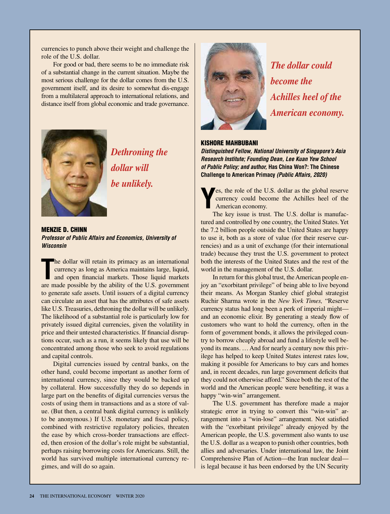currencies to punch above their weight and challenge the role of the U.S. dollar.

For good or bad, there seems to be no immediate risk of a substantial change in the current situation. Maybe the most serious challenge for the dollar comes from the U.S. government itself, and its desire to somewhat dis-engage from a multilateral approach to international relations, and distance itself from global economic and trade governance.



*Dethroning the dollar will be unlikely.*

MENZIE D. CHINN *Professor of Public Affairs and Economics, University of Wisconsin*

The dollar will retain its primacy as an international currency as long as America maintains large, liquid, and open financial markets. Those liquid markets are made possible by the ability of the U.S. government he dollar will retain its primacy as an international currency as long as America maintains large, liquid, and open financial markets. Those liquid markets to generate safe assets. Until issuers of a digital currency can circulate an asset that has the attributes of safe assets like U.S. Treasuries, dethroning the dollar will be unlikely. The likelihood of a substantial role is particularly low for privately issued digital currencies, given the volatility in price and their untested characteristics. If financial disruptions occur, such as a run, it seems likely that use will be concentrated among those who seek to avoid regulations and capital controls.

Digital currencies issued by central banks, on the other hand, could become important as another form of international currency, since they would be backed up by collateral. How successfully they do so depends in large part on the benefits of digital currencies versus the costs of using them in transactions and as a store of value. (But then, a central bank digital currency is unlikely to be anonymous.) If U.S. monetary and fiscal policy, combined with restrictive regulatory policies, threaten the ease by which cross-border transactions are effected, then erosion of the dollar's role might be substantial, perhaps raising borrowing costs for Americans. Still, the world has survived multiple international currency regimes, and will do so again.



*The dollar could become the Achilles heel of the American economy.*

### KISHORE MAHBUBANI

*Distinguished Fellow, National University of Singapore's Asia Research Institute; Founding Dean, Lee Kuan Yew School of Public Policy; and author,* **Has China Won?: The Chinese Challenge to American Primacy** *(Public Affairs, 2020)* 

**Y** es, the role of the U.S. dollar as the global reserve currency could become the Achilles heel of the American economy.

The key issue is trust. The U.S. dollar is manufactured and controlled by one country, the United States. Yet the 7.2 billion people outside the United States are happy to use it, both as a store of value (for their reserve currencies) and as a unit of exchange (for their international trade) because they trust the U.S. government to protect both the interests of the United States and the rest of the world in the management of the U.S. dollar.

In return for this global trust, the American people enjoy an "exorbitant privilege" of being able to live beyond their means. As Morgan Stanley chief global strategist Ruchir Sharma wrote in the *New York Times,* "Reserve currency status had long been a perk of imperial might and an economic elixir. By generating a steady flow of customers who want to hold the currency, often in the form of government bonds, it allows the privileged country to borrow cheaply abroad and fund a lifestyle well beyond its means. … And for nearly a century now this privilege has helped to keep United States interest rates low, making it possible for Americans to buy cars and homes and, in recent decades, run large government deficits that they could not otherwise afford." Since both the rest of the world and the American people were benefiting, it was a happy "win-win" arrangement.

The U.S. government has therefore made a major strategic error in trying to convert this "win-win" arrangement into a "win-lose" arrangement. Not satisfied with the "exorbitant privilege" already enjoyed by the American people, the U.S. government also wants to use the U.S. dollar as a weapon to punish other countries, both allies and adversaries. Under international law, the Joint Comprehensive Plan of Action—the Iran nuclear deal is legal because it has been endorsed by the UN Security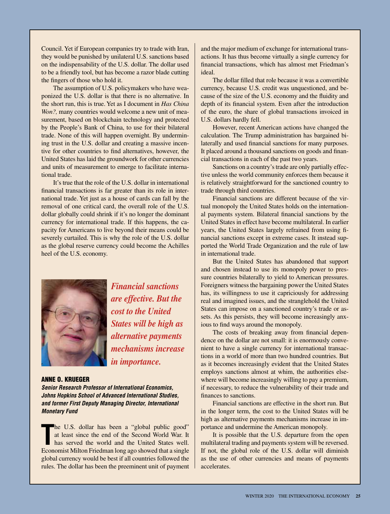Council. Yet if European companies try to trade with Iran, they would be punished by unilateral U.S. sanctions based on the indispensability of the U.S. dollar. The dollar used to be a friendly tool, but has become a razor blade cutting the fingers of those who hold it.

The assumption of U.S. policymakers who have weaponized the U.S. dollar is that there is no alternative. In the short run, this is true. Yet as I document in *Has China Won?,* many countries would welcome a new unit of measurement, based on blockchain technology and protected by the People's Bank of China, to use for their bilateral trade. None of this will happen overnight. By undermining trust in the U.S. dollar and creating a massive incentive for other countries to find alternatives, however, the United States has laid the groundwork for other currencies and units of measurement to emerge to facilitate international trade.

It's true that the role of the U.S. dollar in international financial transactions is far greater than its role in international trade. Yet just as a house of cards can fall by the removal of one critical card, the overall role of the U.S. dollar globally could shrink if it's no longer the dominant currency for international trade. If this happens, the capacity for Americans to live beyond their means could be severely curtailed. This is why the role of the U.S. dollar as the global reserve currency could become the Achilles heel of the U.S. economy.



*Financial sanctions are effective. But the cost to the United States will be high as alternative payments mechanisms increase in importance.*

### ANNE O. KRUEGER

*Senior Research Professor of International Economics, Johns Hopkins School of Advanced International Studies, and former First Deputy Managing Director, International Monetary Fund*

The U.S. dollar has been a "global public good" at least since the end of the Second World War. It has served the world and the United States well. Economist Milton Friedman long ago showed that a single he U.S. dollar has been a "global public good" at least since the end of the Second World War. It has served the world and the United States well. global currency would be best if all countries followed the rules. The dollar has been the preeminent unit of payment

and the major medium of exchange for international transactions. It has thus become virtually a single currency for financial transactions, which has almost met Friedman's ideal.

The dollar filled that role because it was a convertible currency, because U.S. credit was unquestioned, and because of the size of the U.S. economy and the fluidity and depth of its financial system. Even after the introduction of the euro, the share of global transactions invoiced in U.S. dollars hardly fell.

However, recent American actions have changed the calculation. The Trump administration has bargained bilaterally and used financial sanctions for many purposes. It placed around a thousand sanctions on goods and financial transactions in each of the past two years.

Sanctions on a country's trade are only partially effective unless the world community enforces them because it is relatively straightforward for the sanctioned country to trade through third countries.

Financial sanctions are different because of the virtual monopoly the United States holds on the international payments system. Bilateral financial sanctions by the United States in effect have become multilateral. In earlier years, the United States largely refrained from using financial sanctions except in extreme cases. It instead supported the World Trade Organization and the rule of law in international trade.

But the United States has abandoned that support and chosen instead to use its monopoly power to pressure countries bilaterally to yield to American pressures. Foreigners witness the bargaining power the United States has, its willingness to use it capriciously for addressing real and imagined issues, and the stranglehold the United States can impose on a sanctioned country's trade or assets. As this persists, they will become increasingly anxious to find ways around the monopoly.

The costs of breaking away from financial dependence on the dollar are not small: it is enormously convenient to have a single currency for international transactions in a world of more than two hundred countries. But as it becomes increasingly evident that the United States employs sanctions almost at whim, the authorities elsewhere will become increasingly willing to pay a premium, if necessary, to reduce the vulnerability of their trade and finances to sanctions.

Financial sanctions are effective in the short run. But in the longer term, the cost to the United States will be high as alternative payments mechanisms increase in importance and undermine the American monopoly.

It is possible that the U.S. departure from the open multilateral trading and payments system will be reversed. If not, the global role of the U.S. dollar will diminish as the use of other currencies and means of payments accelerates.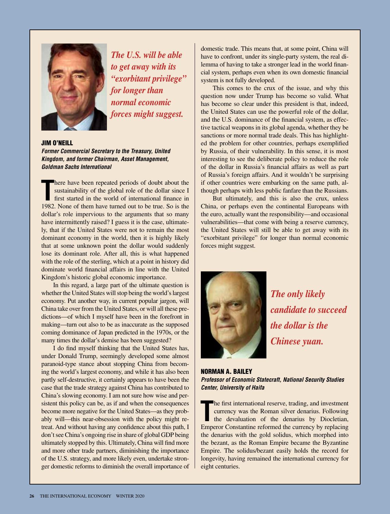

*The U.S. will be able to get away with its "exorbitant privilege" for longer than normal economic forces might suggest.*

# JIM O'NEILL

*Former Commercial Secretary to the Treasury, United Kingdom, and former Chairman, Asset Management, Goldman Sachs International*

There have been repeated periods of doubt about the<br>
sustainability of the global role of the dollar since I<br>
first started in the world of international finance in<br>
1982. None of them have turned out to be true. So is the here have been repeated periods of doubt about the sustainability of the global role of the dollar since I first started in the world of international finance in dollar's role impervious to the arguments that so many have intermittently raised? I guess it is the case, ultimately, that if the United States were not to remain the most dominant economy in the world, then it is highly likely that at some unknown point the dollar would suddenly lose its dominant role. After all, this is what happened with the role of the sterling, which at a point in history did dominate world financial affairs in line with the United Kingdom's historic global economic importance.

In this regard, a large part of the ultimate question is whether the United States will stop being the world's largest economy. Put another way, in current popular jargon, will China take over from the United States, or will all these predictions—of which I myself have been in the forefront in making—turn out also to be as inaccurate as the supposed coming dominance of Japan predicted in the 1970s, or the many times the dollar's demise has been suggested?

I do find myself thinking that the United States has, under Donald Trump, seemingly developed some almost paranoid-type stance about stopping China from becoming the world's largest economy, and while it has also been partly self-destructive, it certainly appears to have been the case that the trade strategy against China has contributed to China's slowing economy. I am not sure how wise and persistent this policy can be, as if and when the consequences become more negative for the United States—as they probably will—this near-obsession with the policy might retreat. And without having any confidence about this path, I don't see China's ongoing rise in share of global GDP being ultimately stopped by this. Ultimately, China will find more and more other trade partners, diminishing the importance of the U.S. strategy, and more likely even, undertake stronger domestic reforms to diminish the overall importance of

domestic trade. This means that, at some point, China will have to confront, under its single-party system, the real dilemma of having to take a stronger lead in the world financial system, perhaps even when its own domestic financial system is not fully developed.

This comes to the crux of the issue, and why this question now under Trump has become so valid. What has become so clear under this president is that, indeed, the United States can use the powerful role of the dollar, and the U.S. dominance of the financial system, as effective tactical weapons in its global agenda, whether they be sanctions or more normal trade deals. This has highlighted the problem for other countries, perhaps exemplified by Russia, of their vulnerability. In this sense, it is most interesting to see the deliberate policy to reduce the role of the dollar in Russia's financial affairs as well as part of Russia's foreign affairs. And it wouldn't be surprising if other countries were embarking on the same path, although perhaps with less public fanfare than the Russians.

But ultimately, and this is also the crux, unless China, or perhaps even the continental Europeans with the euro, actually want the responsibility—and occasional vulnerabilities—that come with being a reserve currency, the United States will still be able to get away with its "exorbitant privilege" for longer than normal economic forces might suggest.



*The only likely candidate to succeed the dollar is the Chinese yuan.*

### NORMAN A. BAILEY *Professor of Economic Statecraft, National Security Studies Center, University of Haifa*

The first international reserve, trading, and investment currency was the Roman silver denarius. Following the devaluation of the denarius by Diocletian, Emperor Constantine reformed the currency by replacing he first international reserve, trading, and investment currency was the Roman silver denarius. Following the devaluation of the denarius by Diocletian, the denarius with the gold solidus, which morphed into the bezant, as the Roman Empire became the Byzantine Empire. The solidus/bezant easily holds the record for longevity, having remained the international currency for eight centuries.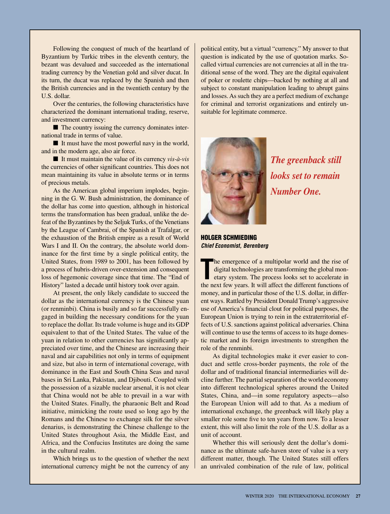Following the conquest of much of the heartland of Byzantium by Turkic tribes in the eleventh century, the bezant was devalued and succeeded as the international trading currency by the Venetian gold and silver ducat. In its turn, the ducat was replaced by the Spanish and then the British currencies and in the twentieth century by the U.S. dollar.

Over the centuries, the following characteristics have characterized the dominant international trading, reserve, and investment currency:

 $\blacksquare$  The country issuing the currency dominates international trade in terms of value.

 $\blacksquare$  It must have the most powerful navy in the world, and in the modern age, also air force.

 $\blacksquare$  It must maintain the value of its currency *vis-à-vis* the currencies of other significant countries. This does not mean maintaining its value in absolute terms or in terms of precious metals.

As the American global imperium implodes, beginning in the G. W. Bush administration, the dominance of the dollar has come into question, although in historical terms the transformation has been gradual, unlike the defeat of the Byzantines by the Seljuk Turks, of the Venetians by the League of Cambrai, of the Spanish at Trafalgar, or the exhaustion of the British empire as a result of World Wars I and II. On the contrary, the absolute world dominance for the first time by a single political entity, the United States, from 1989 to 2001, has been followed by a process of hubris-driven over-extension and consequent loss of hegemonic coverage since that time. The "End of History" lasted a decade until history took over again.

At present, the only likely candidate to succeed the dollar as the international currency is the Chinese yuan (or renminbi). China is busily and so far successfully engaged in building the necessary conditions for the yuan to replace the dollar. Its trade volume is huge and its GDP equivalent to that of the United States. The value of the yuan in relation to other currencies has significantly appreciated over time, and the Chinese are increasing their naval and air capabilities not only in terms of equipment and size, but also in term of international coverage, with dominance in the East and South China Seas and naval bases in Sri Lanka, Pakistan, and Djibouti. Coupled with the possession of a sizable nuclear arsenal, it is not clear that China would not be able to prevail in a war with the United States. Finally, the pharaonic Belt and Road initiative, mimicking the route used so long ago by the Romans and the Chinese to exchange silk for the silver denarius, is demonstrating the Chinese challenge to the United States throughout Asia, the Middle East, and Africa, and the Confucius Institutes are doing the same in the cultural realm.

Which brings us to the question of whether the next international currency might be not the currency of any

political entity, but a virtual "currency." My answer to that question is indicated by the use of quotation marks. Socalled virtual currencies are not currencies at all in the traditional sense of the word. They are the digital equivalent of poker or roulette chips—backed by nothing at all and subject to constant manipulation leading to abrupt gains and losses. As such they are a perfect medium of exchange for criminal and terrorist organizations and entirely unsuitable for legitimate commerce.



*The greenback still looks set to remain Number One.*

HOLGER SCHMIEDING *Chief Economist, Berenberg*

The emergence of a multipolar world and the rise of digital technologies are transforming the global mon-<br>etary system. The process looks set to accelerate in<br>the next few years. It will affect the different functions of he emergence of a multipolar world and the rise of digital technologies are transforming the global monetary system. The process looks set to accelerate in money, and in particular those of the U.S. dollar, in different ways. Rattled by President Donald Trump's aggressive use of America's financial clout for political purposes, the European Union is trying to rein in the extraterritorial effects of U.S. sanctions against political adversaries. China will continue to use the terms of access to its huge domestic market and its foreign investments to strengthen the role of the renminbi.

As digital technologies make it ever easier to conduct and settle cross-border payments, the role of the dollar and of traditional financial intermediaries will decline further. The partial separation of the world economy into different technological spheres around the United States, China, and—in some regulatory aspects—also the European Union will add to that. As a medium of international exchange, the greenback will likely play a smaller role some five to ten years from now. To a lesser extent, this will also limit the role of the U.S. dollar as a unit of account.

Whether this will seriously dent the dollar's dominance as the ultimate safe-haven store of value is a very different matter, though. The United States still offers an unrivaled combination of the rule of law, political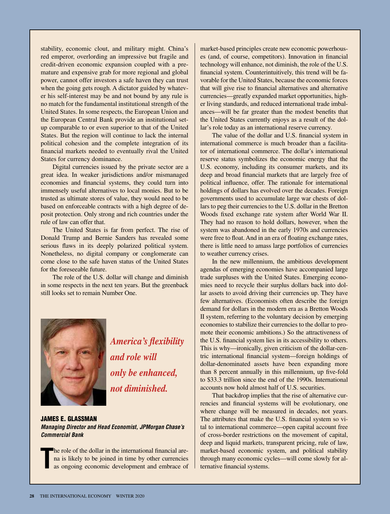stability, economic clout, and military might. China's red emperor, overlording an impressive but fragile and credit-driven economic expansion coupled with a premature and expensive grab for more regional and global power, cannot offer investors a safe haven they can trust when the going gets rough. A dictator guided by whatever his self-interest may be and not bound by any rule is no match for the fundamental institutional strength of the United States. In some respects, the European Union and the European Central Bank provide an institutional setup comparable to or even superior to that of the United States. But the region will continue to lack the internal political cohesion and the complete integration of its financial markets needed to eventually rival the United States for currency dominance.

Digital currencies issued by the private sector are a great idea. In weaker jurisdictions and/or mismanaged economies and financial systems, they could turn into immensely useful alternatives to local monies. But to be trusted as ultimate stores of value, they would need to be based on enforceable contracts with a high degree of deposit protection. Only strong and rich countries under the rule of law can offer that.

The United States is far from perfect. The rise of Donald Trump and Bernie Sanders has revealed some serious flaws in its deeply polarized political system. Nonetheless, no digital company or conglomerate can come close to the safe haven status of the United States for the foreseeable future.

The role of the U.S. dollar will change and diminish in some respects in the next ten years. But the greenback still looks set to remain Number One.



*America's flexibility and role will only be enhanced, not diminished.*

JAMES E. GLASSMAN *Managing Director and Head Economist, JPMorgan Chase's Commercial Bank*

**T** he role of the dollar in the international financial arena is likely to be joined in time by other currencies as ongoing economic development and embrace of market-based principles create new economic powerhouses (and, of course, competitors). Innovation in financial technology will enhance, not diminish, the role of the U.S. financial system. Counterintuitively, this trend will be favorable for the United States, because the economic forces that will give rise to financial alternatives and alternative currencies—greatly expanded market opportunities, higher living standards, and reduced international trade imbalances—will be far greater than the modest benefits that the United States currently enjoys as a result of the dollar's role today as an international reserve currency.

The value of the dollar and U.S. financial system in international commerce is much broader than a facilitator of international commerce. The dollar's international reserve status symbolizes the economic energy that the U.S. economy, including its consumer markets, and its deep and broad financial markets that are largely free of political influence, offer. The rationale for international holdings of dollars has evolved over the decades. Foreign governments used to accumulate large war chests of dollars to peg their currencies to the U.S. dollar in the Bretton Woods fixed exchange rate system after World War II. They had no reason to hold dollars, however, when the system was abandoned in the early 1970s and currencies were free to float. And in an era of floating exchange rates, there is little need to amass large portfolios of currencies to weather currency crises.

In the new millennium, the ambitious development agendas of emerging economies have accompanied large trade surpluses with the United States. Emerging economies need to recycle their surplus dollars back into dollar assets to avoid driving their currencies up. They have few alternatives. (Economists often describe the foreign demand for dollars in the modern era as a Bretton Woods II system, referring to the voluntary decision by emerging economies to stabilize their currencies to the dollar to promote their economic ambitions.) So the attractiveness of the U.S. financial system lies in its accessibility to others. This is why—ironically, given criticism of the dollar-centric international financial system—foreign holdings of dollar-denominated assets have been expanding more than 8 percent annually in this millennium, up five-fold to \$33.3 trillion since the end of the 1990s. International accounts now hold almost half of U.S. securities.

That backdrop implies that the rise of alternative currencies and financial systems will be evolutionary, one where change will be measured in decades, not years. The attributes that make the U.S. financial system so vital to international commerce—open capital account free of cross-border restrictions on the movement of capital, deep and liquid markets, transparent pricing, rule of law, market-based economic system, and political stability through many economic cycles—will come slowly for alternative financial systems.